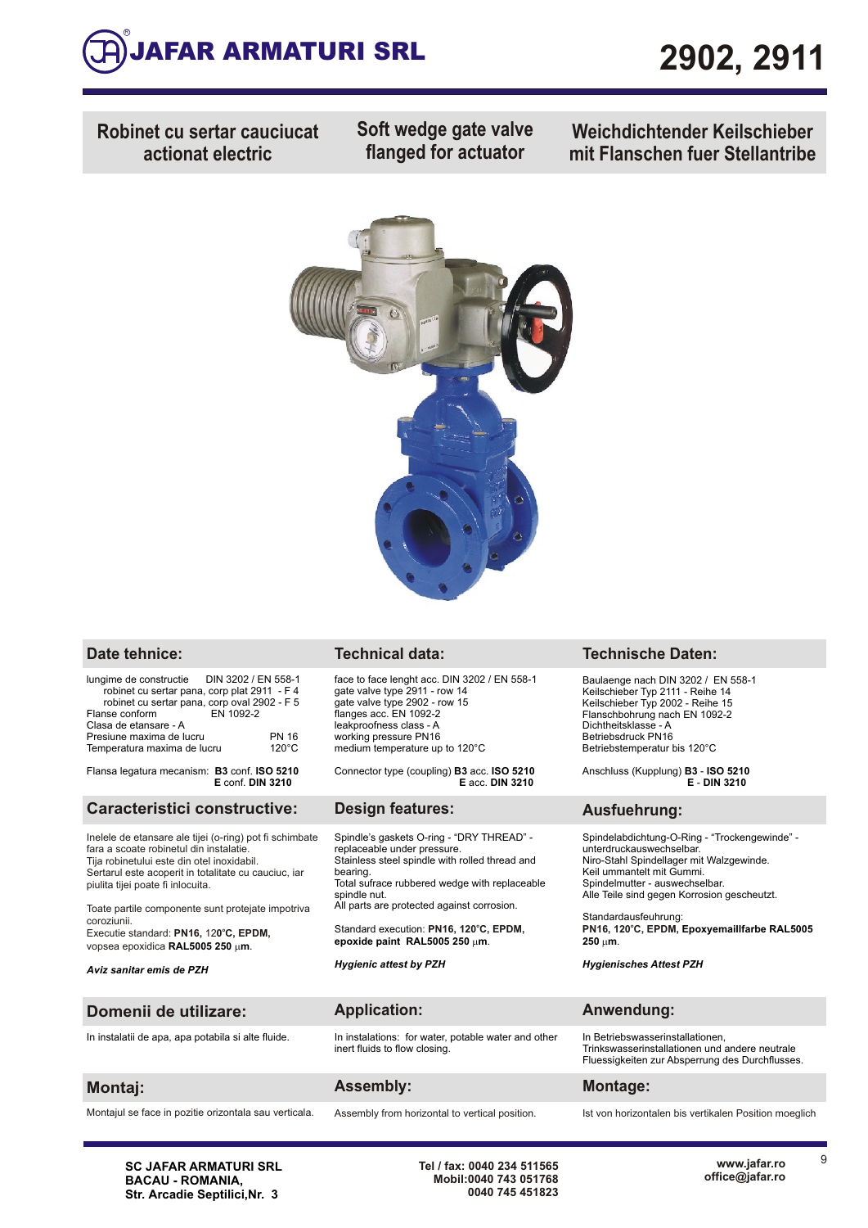

**Robinet cu sertar cauciucat actionat electric**

**Soft wedge gate valve flanged for actuator**

**Weichdichtender Keilschieber mit Flanschen fuer Stellantribe**



| lungime de constructie  DIN 3202 / EN 558-1                                                               |                                 |
|-----------------------------------------------------------------------------------------------------------|---------------------------------|
| robinet cu sertar pana, corp plat 2911 - F 4<br>robinet cu sertar pana, corp oval 2902 - F 5<br>EN 1092-2 |                                 |
| Flanse conform<br>Clasa de etansare - A                                                                   |                                 |
| Presiune maxima de lucru<br>Temperatura maxima de lucru                                                   | <b>PN 16</b><br>$120^{\circ}$ C |
|                                                                                                           |                                 |

Flansa legatura mecanism: **B3** conf. **ISO 5210 E** conf. **DIN 3210**

### **Caracteristici constructive: Design features: Ausfuehrung:**

Inelele de etansare ale tijei (o-ring) pot fi schimbate fara a scoate robinetul din instalatie. Tija robinetului este din otel inoxidabil. Sertarul este acoperit in totalitate cu cauciuc, iar piulita tijei poate fi inlocuita.

Toate partile componente sunt protejate impotriva coroziunii. **<sup>o</sup>** Executie standard: **PN16,** 12**0 C, EPDM,** 

vopsea epoxidica RAL5005 250 µm.

face to face lenght acc. DIN 3202 / EN 558-1 gate valve type 2911 - row 14 gate valve type 2902 - row 15 flanges acc. EN 1092-2 leakproofness class - A working pressure PN16 medium temperature up to 120°C

Connector type (coupling) **B3** acc. **ISO 5210 E** acc. **DIN 3210** 

Spindle's gaskets O-ring - "DRY THREAD" replaceable under pressure. Stainless steel spindle with rolled thread and bearing. Total sufrace rubbered wedge with replaceable spindle nut. All parts are protected against corrosion.

Standard execution: PN16, 120°C, EPDM, **epoxide paint RAL5005 250** m**m**.

*Hygienic attest by PZH* 

### **Date tehnice: Technical data: Technische Daten:**

Baulaenge nach DIN 3202 / EN 558-1 Keilschieber Typ 2111 - Reihe 14 Keilschieber Typ 2002 - Reihe 15 Flanschbohrung nach EN 1092-2 Dichtheitsklasse - A Betriebsdruck PN16 Betriebstemperatur bis 120°C

Anschluss (Kupplung) **B3** - **ISO 5210 E** - **DIN 3210**

Spindelabdichtung-O-Ring - "Trockengewinde" unterdruckauswechselbar. Niro-Stahl Spindellager mit Walzgewinde. Keil ummantelt mit Gummi. Spindelmutter - auswechselbar. Alle Teile sind gegen Korrosion gescheutzt.

Standardausfeuhrung : **Epoxyemaillfarbe RAL5005 <sup>o</sup> PN16, 120 C, EPDM, 250** m**m**.

*Hygienisches Attest PZH* 

### **Domenii de utilizare: Application: Anwendung:**

*Aviz sanitar emis de PZH*

In instalatii de apa, apa potabila si alte fluide. In instalations: for water, potable water and other

Montajul se face in pozitie orizontala sau verticala. Assembly from horizontal to vertical position. Ist von horizontalen bis vertikalen Position moeglich

## **Montaj: Assembly: Montage:**

inert fluids to flow closing.

In Betriebswasserinstallationen, Trinkswasserinstallationen und andere neutrale Fluessigkeiten zur Absperrung des Durchflusses.

**SC JAFAR ARMATURI SRL BACAU - ROMANIA, Str. Arcadie Septilici,Nr. 3**

**Tel / fax: 0040 234 511565 Mobil:0040 743 051768 0040 745 451823** 9